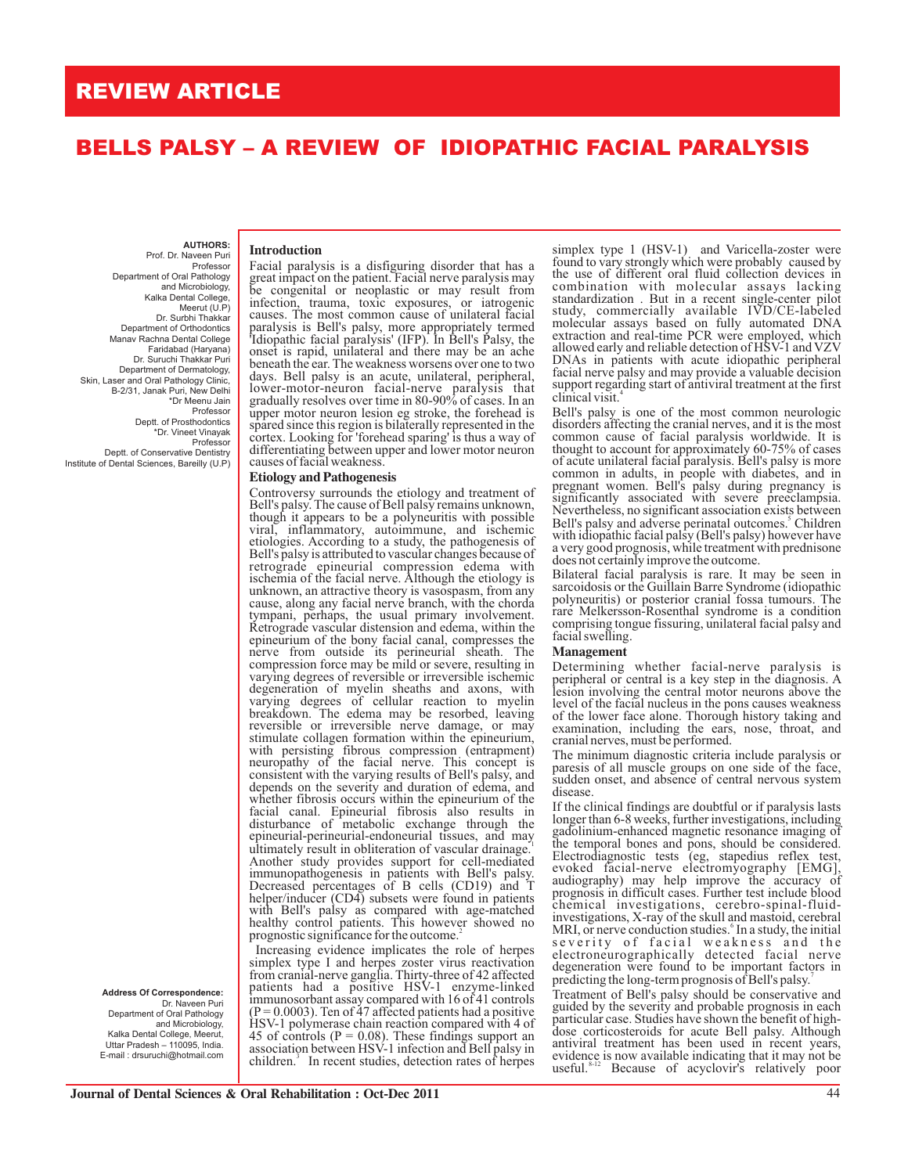## **REVIEW ARTICLE**

# **BELLS PALSY – A REVIEW OF IDIOPATHIC FACIAL PARALYSIS**

**AUTHORS:**  Prof. Dr. Naveen Puri Professor Department of Oral Pathology and Microbiology, Kalka Dental College, Meerut (U.P) Dr. Surbhi Thakkar Dr. Suruchi Thakkar Puri Department of Dermatology, Skin, Laser and Oral Pathology Clinic, B-2/31, Janak Puri, New Delhi \*Dr Meenu Jain Professor Deptt. of Prosthodontics \*Dr. Vineet Vinayak Professor Deptt. of Conservative Dentistry Department of Orthodontics Manav Rachna Dental College Faridabad (Haryana)

Institute of Dental Sciences, Bareilly (U.P)

**Address Of Correspondence:** Dr. Naveen Puri Department of Oral Pathology and Microbiology, Kalka Dental College, Meerut,

Uttar Pradesh – 110095, India. E-mail : drsuruchi@hotmail.com

## **Introduction**

Facial paralysis is a disfiguring disorder that has a great impact on the patient. Facial nerve paralysis may be congenital or neoplastic or may result from infection, trauma, toxic exposures, or iatrogenic causes. The most common cause of unilateral facial paralysis is Bell's palsy, more appropriately termed 'Idiopathic facial paralysis' (IFP). In Bell's Palsy, the onset is rapid, unilateral and there may be an ache beneath the ear. The weakness worsens over one to two days. Bell palsy is an acute, unilateral, peripheral, lower-motor-neuron facial-nerve paralysis that gradually resolves over time in 80-90% of cases. In an upper motor neuron lesion eg stroke, the forehead is spared since this region is bilaterally represented in the cortex. Looking for 'forehead sparing' is thus a way of differentiating between upper and lower motor neuron causes of facial weakness.

#### **Etiology and Pathogenesis**

Controversy surrounds the etiology and treatment of Bell's palsy. The cause of Bell palsy remains unknown, though it appears to be a polyneuritis with possible viral, inflammatory, autoimmune, and ischemic etiologies. According to a study, the pathogenesis of Bell's palsy is attributed to vascular changes because of retrograde epineurial compression edema with ischemia of the facial nerve. Although the etiology is unknown, an attractive theory is vasospasm, from any cause, along any facial nerve branch, with the chorda tympani, perhaps, the usual primary involvement. Retrograde vascular distension and edema, within the epineurium of the bony facial canal, compresses the nerve from outside its perineurial sheath. The compression force may be mild or severe, resulting in varying degrees of reversible or irreversible ischemic degeneration of myelin sheaths and axons, with varying degrees of cellular reaction to myelin breakdown. The edema may be resorbed, leaving reversible or irreversible nerve damage, or may stimulate collagen formation within the epineurium, with persisting fibrous compression (entrapment) neuropathy of the facial nerve. This concept is consistent with the varying results of Bell's palsy, and depends on the severity and duration of edema, and whether fibrosis occurs within the epineurium of the facial canal. Epineurial fibrosis also results in disturbance of metabolic exchange through the epineurial-perineurial-endoneurial tissues, and may<br>ultimately result in ehliteration of vessules drainage<sup>1</sup> ultimately result in obliteration of vascular drainage. Another study provides support for cell-mediated immunopathogenesis in patients with Bell's palsy. Decreased percentages of B cells (CD19) and T helper/inducer (CD4) subsets were found in patients with Bell's palsy as compared with age-matched healthy control patients. This however showed no prognostic significance for the outcome.<sup>2</sup>

 Increasing evidence implicates the role of herpes simplex type I and herpes zoster virus reactivation from cranial-nerve ganglia. Thirty-three of 42 affected patients had a positive HSV-1 enzyme-linked immunosorbant assay compared with 16 of 41 controls  $(P = 0.0003)$ . Ten of 47 affected patients had a positive HSV-1 polymerase chain reaction compared with 4 of 45 of controls ( $P = 0.08$ ). These findings support an association between HSV-1 infection and Bell palsy in children.<sup>3</sup> In recent studies, detection rates of herpes

simplex type 1 (HSV-1) and Varicella-zoster were found to vary strongly which were probably caused by the use of different oral fluid collection devices in combination with molecular assays lacking standardization . But in a recent single-center pilot study, commercially available IVD/CE-labeled molecular assays based on fully automated DNA extraction and real-time PCR were employed, which allowed early and reliable detection of HSV-1 and VZV DNAs in patients with acute idiopathic peripheral facial nerve palsy and may provide a valuable decision support regarding start of antiviral treatment at the first clinical visit.

Bell's palsy is one of the most common neurologic disorders affecting the cranial nerves, and it is the most common cause of facial paralysis worldwide. It is thought to account for approximately 60-75% of cases of acute unilateral facial paralysis. Bell's palsy is more common in adults, in people with diabetes, and in pregnant women. Bell's palsy during pregnancy is significantly associated with severe preeclampsia. Nevertheless, no significant association exists between Bell's palsy and adverse perinatal outcomes.<sup>3</sup> Children with idiopathic facial palsy (Bell's palsy) however have a very good prognosis, while treatment with prednisone does not certainly improve the outcome.

Bilateral facial paralysis is rare. It may be seen in sarcoidosis or the Guillain Barre Syndrome (idiopathic polyneuritis) or posterior cranial fossa tumours. The rare Melkersson-Rosenthal syndrome is a condition comprising tongue fissuring, unilateral facial palsy and facial swelling.

#### **Management**

Determining whether facial-nerve paralysis is peripheral or central is a key step in the diagnosis. A lesion involving the central motor neurons above the level of the facial nucleus in the pons causes weakness of the lower face alone. Thorough history taking and examination, including the ears, nose, throat, and cranial nerves, must be performed.

The minimum diagnostic criteria include paralysis or paresis of all muscle groups on one side of the face, sudden onset, and absence of central nervous system disease.

If the clinical findings are doubtful or if paralysis lasts longer than 6-8 weeks, further investigations, including gadolinium-enhanced magnetic resonance imaging of the temporal bones and pons, should be considered. Electrodiagnostic tests (eg, stapedius reflex test, evoked facial-nerve electromyography [EMG], audiography) may help improve the accuracy of prognosis in difficult cases. Further test include blood chemical investigations, cerebro-spinal-fluidinvestigations, X-ray of the skull and mastoid, cerebral MRI, or nerve conduction studies.<sup>6</sup> In a study, the initial severity of facial weakness and the electroneurographically detected facial nerve degeneration were found to be important factors in predicting the long-term prognosis of Bell's palsy.

Treatment of Bell's palsy should be conservative and guided by the severity and probable prognosis in each particular case. Studies have shown the benefit of highdose corticosteroids for acute Bell palsy. Although antiviral treatment has been used in recent years, evidence is now available indicating that it may not be useful.  $8^{12}$  Because of acyclovir's relatively poor Because of acyclovir's relatively poor